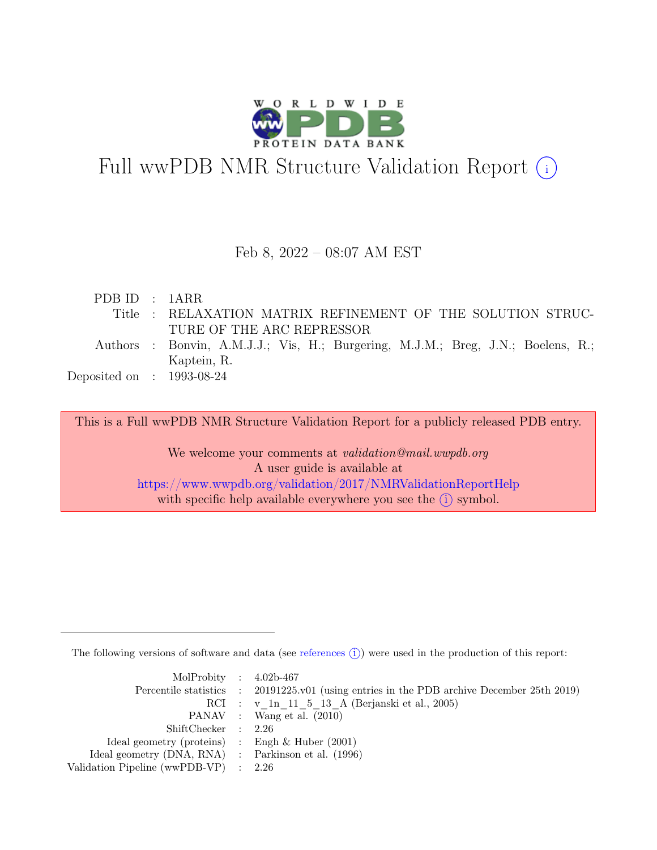

# Full wwPDB NMR Structure Validation Report (i)

#### Feb 8, 2022 – 08:07 AM EST

| PDBID : 1ARR                |                                                                                  |
|-----------------------------|----------------------------------------------------------------------------------|
|                             | Title : RELAXATION MATRIX REFINEMENT OF THE SOLUTION STRUC-                      |
|                             | TURE OF THE ARC REPRESSOR                                                        |
|                             | Authors : Bonvin, A.M.J.J.; Vis, H.; Burgering, M.J.M.; Breg, J.N.; Boelens, R.; |
|                             | Kaptein, R.                                                                      |
| Deposited on : $1993-08-24$ |                                                                                  |
|                             |                                                                                  |

This is a Full wwPDB NMR Structure Validation Report for a publicly released PDB entry.

We welcome your comments at *validation@mail.wwpdb.org* A user guide is available at <https://www.wwpdb.org/validation/2017/NMRValidationReportHelp> with specific help available everywhere you see the  $(i)$  symbol.

The following versions of software and data (see [references](https://www.wwpdb.org/validation/2017/NMRValidationReportHelp#references)  $\hat{I}$ ) were used in the production of this report:

| MolProbity : $4.02b-467$                            |                                                                                            |
|-----------------------------------------------------|--------------------------------------------------------------------------------------------|
|                                                     | Percentile statistics : 20191225.v01 (using entries in the PDB archive December 25th 2019) |
|                                                     | RCI : v 1n 11 5 13 A (Berjanski et al., 2005)                                              |
|                                                     | PANAV : Wang et al. (2010)                                                                 |
| ShiftChecker : 2.26                                 |                                                                                            |
| Ideal geometry (proteins) : Engh $\&$ Huber (2001)  |                                                                                            |
| Ideal geometry (DNA, RNA) : Parkinson et al. (1996) |                                                                                            |
| Validation Pipeline (wwPDB-VP) $\therefore$ 2.26    |                                                                                            |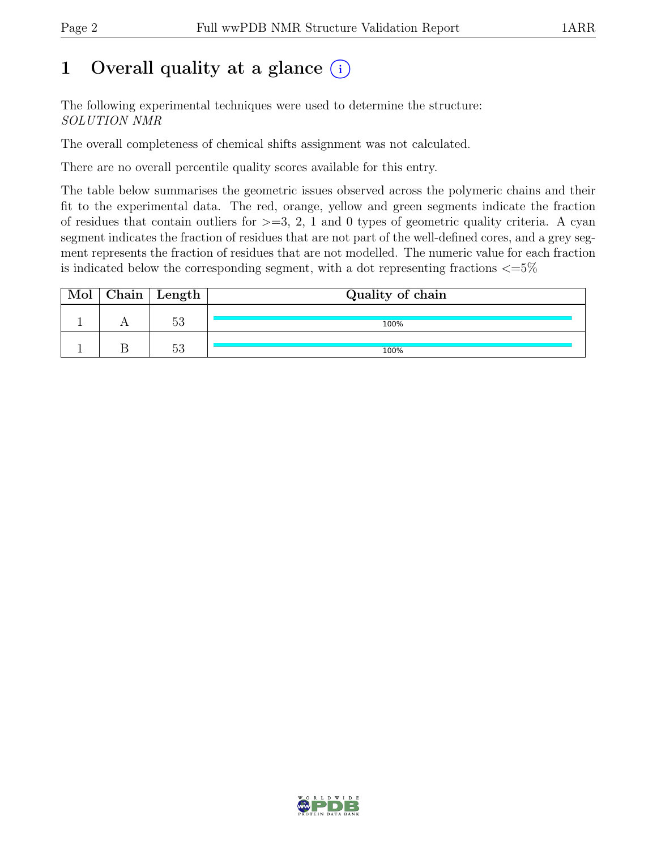## 1 Overall quality at a glance  $(i)$

The following experimental techniques were used to determine the structure: SOLUTION NMR

The overall completeness of chemical shifts assignment was not calculated.

There are no overall percentile quality scores available for this entry.

The table below summarises the geometric issues observed across the polymeric chains and their fit to the experimental data. The red, orange, yellow and green segments indicate the fraction of residues that contain outliers for  $\geq$ =3, 2, 1 and 0 types of geometric quality criteria. A cyan segment indicates the fraction of residues that are not part of the well-defined cores, and a grey segment represents the fraction of residues that are not modelled. The numeric value for each fraction is indicated below the corresponding segment, with a dot representing fractions  $\epsilon = 5\%$ 

| Mol | $\vert$ Chain $\vert$ Length $\vert$ | Quality of chain |
|-----|--------------------------------------|------------------|
|     | 53                                   | 100%             |
|     | 52<br>ಀಀ                             | 100%             |

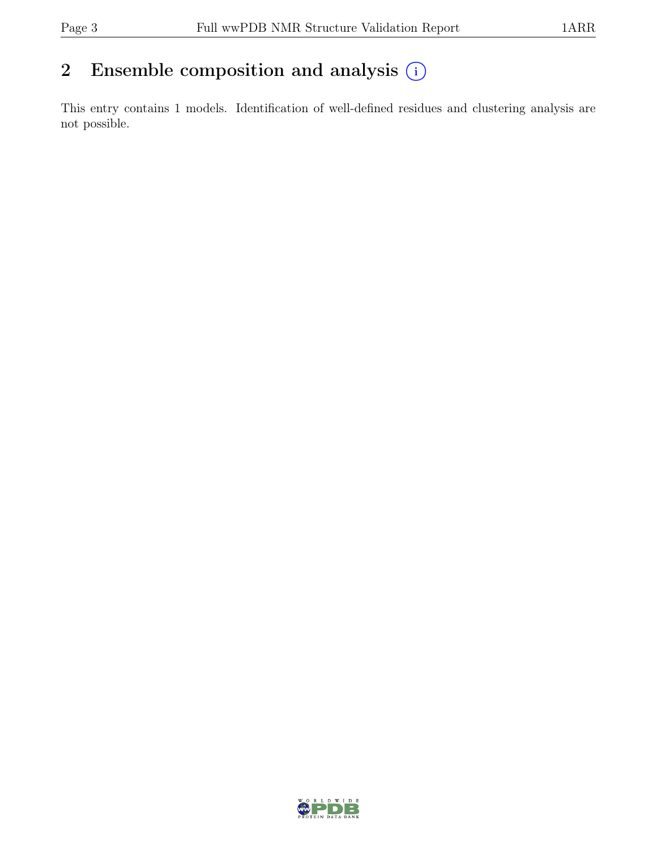## 2 Ensemble composition and analysis  $(i)$

This entry contains 1 models. Identification of well-defined residues and clustering analysis are not possible.

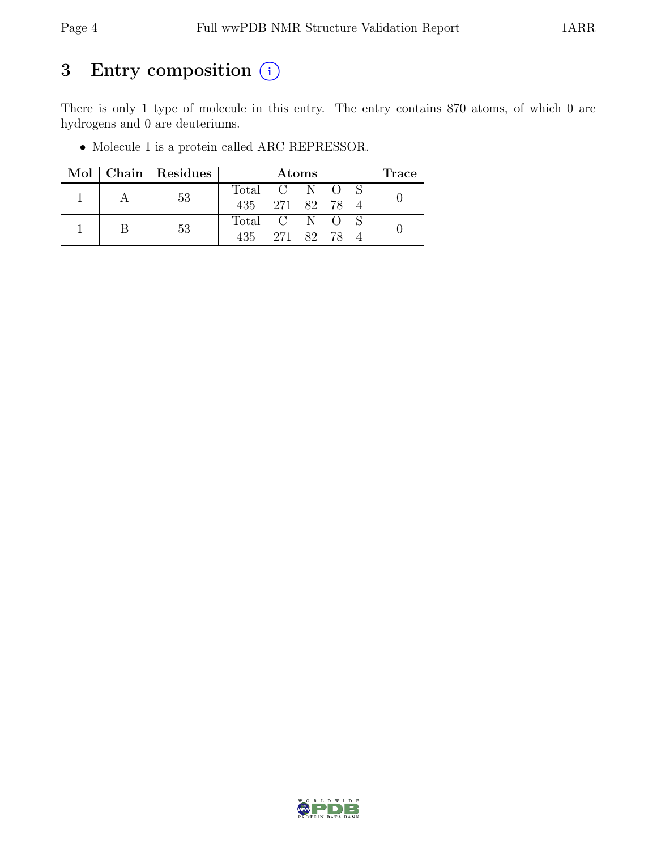## 3 Entry composition  $(i)$

There is only 1 type of molecule in this entry. The entry contains 870 atoms, of which 0 are hydrogens and 0 are deuteriums.

• Molecule 1 is a protein called ARC REPRESSOR.

|  |  | Mol   Chain   Residues | <b>Atoms</b>    |               |               |  |  | Trace |  |
|--|--|------------------------|-----------------|---------------|---------------|--|--|-------|--|
|  |  | 53                     | Total C N O S   |               |               |  |  |       |  |
|  |  |                        | 435 271 82 78 4 |               |               |  |  |       |  |
|  |  | 53                     |                 | Total C N O S |               |  |  |       |  |
|  |  |                        |                 |               | 435 271 82 78 |  |  |       |  |

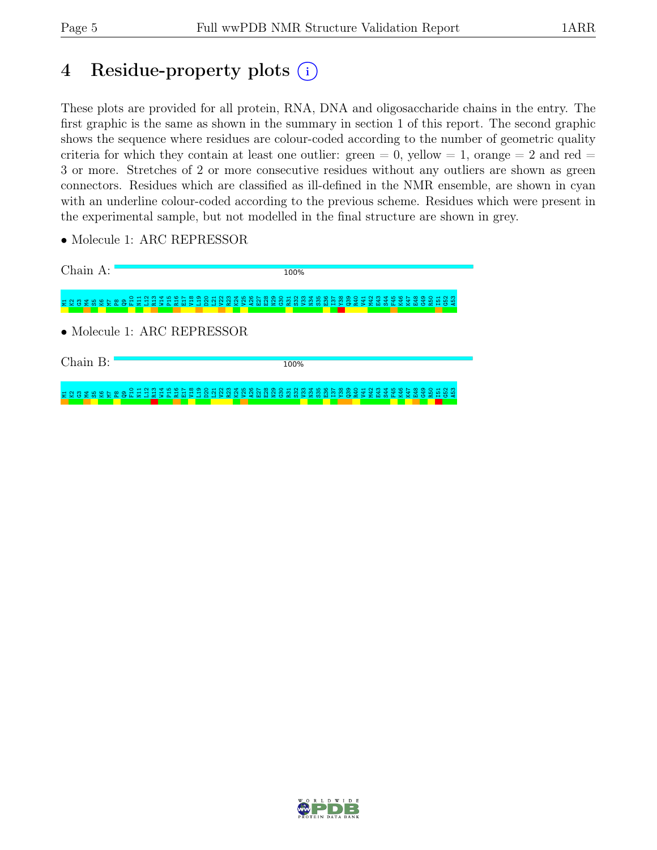## 4 Residue-property plots (i)

These plots are provided for all protein, RNA, DNA and oligosaccharide chains in the entry. The first graphic is the same as shown in the summary in section 1 of this report. The second graphic shows the sequence where residues are colour-coded according to the number of geometric quality criteria for which they contain at least one outlier: green  $= 0$ , yellow  $= 1$ , orange  $= 2$  and red  $=$ 3 or more. Stretches of 2 or more consecutive residues without any outliers are shown as green connectors. Residues which are classified as ill-defined in the NMR ensemble, are shown in cyan with an underline colour-coded according to the previous scheme. Residues which were present in the experimental sample, but not modelled in the final structure are shown in grey.

• Molecule 1: ARC REPRESSOR

Chain A: 100% E 2 8 2 8 2 5 8 9 2 5 11<br>11<br>11<br>11<br>11 P15 R16 E17 V18 L19 D20 L21 V22 R23 K24 V25 A26 E27 E28 N29 G30 R31 S32 V33 N34 S35 E36 I37 Y38 Q39 R40 V41 M42 E43 S44 F45 K46 K47 E48 G49 R50 I51 G52 A53 • Molecule 1: ARC REPRESSOR

Chain B:

100%

M1K2G3M4S5K6M7 ឌ. Q9  $\frac{1}{2}$ E<br>11 L12 R13 W14 P15 R16 E17 V18 L19 D20 L21 V22 R23 K24 V25 A26 E27 E28 N29 នី នី នី នី N34 S35 E36  $\frac{57}{2}$ Y38 ဌာ R40 V41 M42 E43 S44 F45 K46 K47 E48 G49 R50 I51 G52 A53

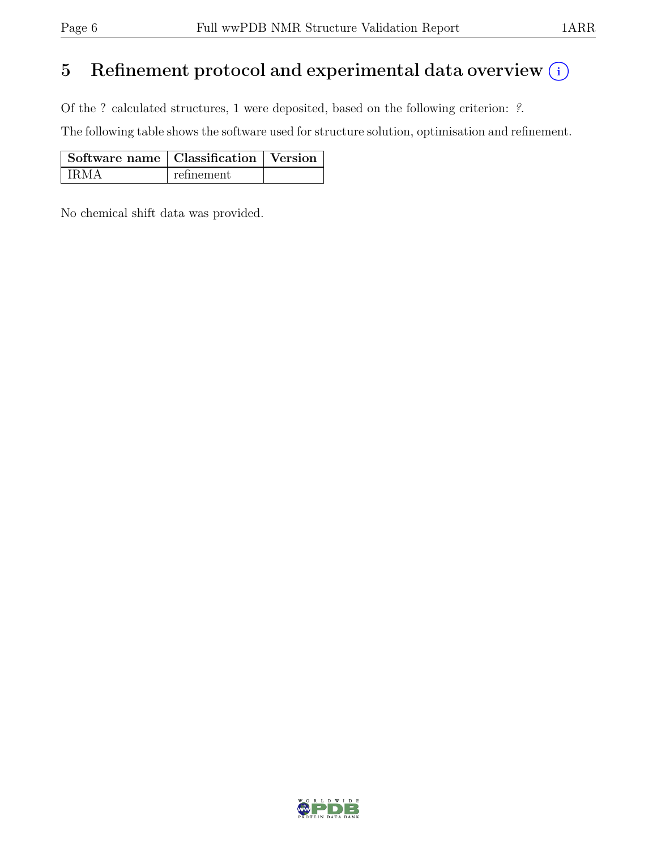## 5 Refinement protocol and experimental data overview  $(i)$

Of the ? calculated structures, 1 were deposited, based on the following criterion: ?.

The following table shows the software used for structure solution, optimisation and refinement.

| Software name   Classification   Version |            |  |
|------------------------------------------|------------|--|
| IRMA                                     | refinement |  |

No chemical shift data was provided.

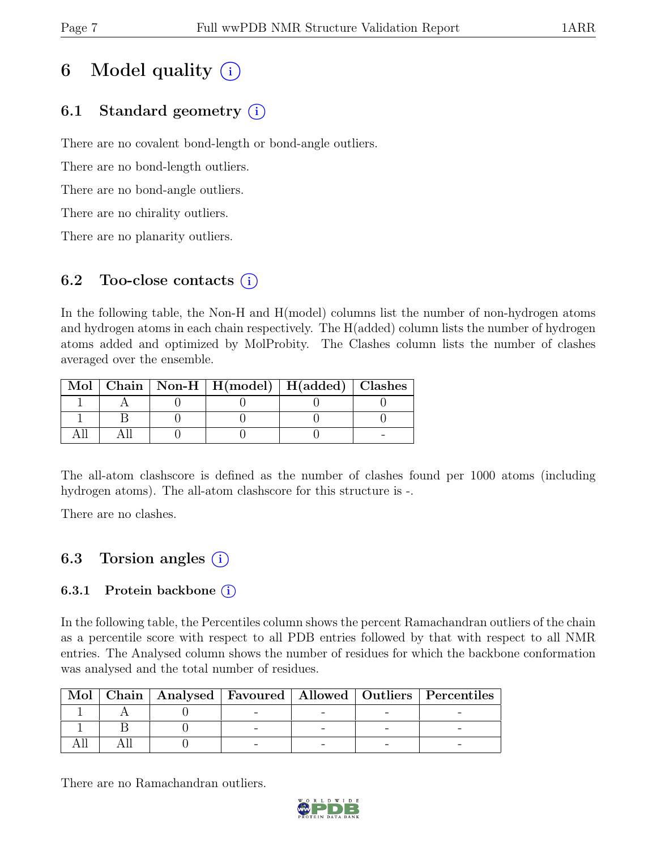## 6 Model quality  $(i)$

## 6.1 Standard geometry  $(i)$

There are no covalent bond-length or bond-angle outliers.

There are no bond-length outliers.

There are no bond-angle outliers.

There are no chirality outliers.

There are no planarity outliers.

### 6.2 Too-close contacts  $(i)$

In the following table, the Non-H and H(model) columns list the number of non-hydrogen atoms and hydrogen atoms in each chain respectively. The H(added) column lists the number of hydrogen atoms added and optimized by MolProbity. The Clashes column lists the number of clashes averaged over the ensemble.

|  | Mol   Chain   Non-H   $H (model)$   $H (added)$   Clashes |  |
|--|-----------------------------------------------------------|--|
|  |                                                           |  |
|  |                                                           |  |
|  |                                                           |  |

The all-atom clashscore is defined as the number of clashes found per 1000 atoms (including hydrogen atoms). The all-atom clashscore for this structure is -.

There are no clashes.

## 6.3 Torsion angles (i)

### 6.3.1 Protein backbone  $(i)$

In the following table, the Percentiles column shows the percent Ramachandran outliers of the chain as a percentile score with respect to all PDB entries followed by that with respect to all NMR entries. The Analysed column shows the number of residues for which the backbone conformation was analysed and the total number of residues.

|  |  |  | Mol   Chain   Analysed   Favoured   Allowed   Outliers   Percentiles |
|--|--|--|----------------------------------------------------------------------|
|  |  |  |                                                                      |
|  |  |  |                                                                      |
|  |  |  |                                                                      |

There are no Ramachandran outliers.

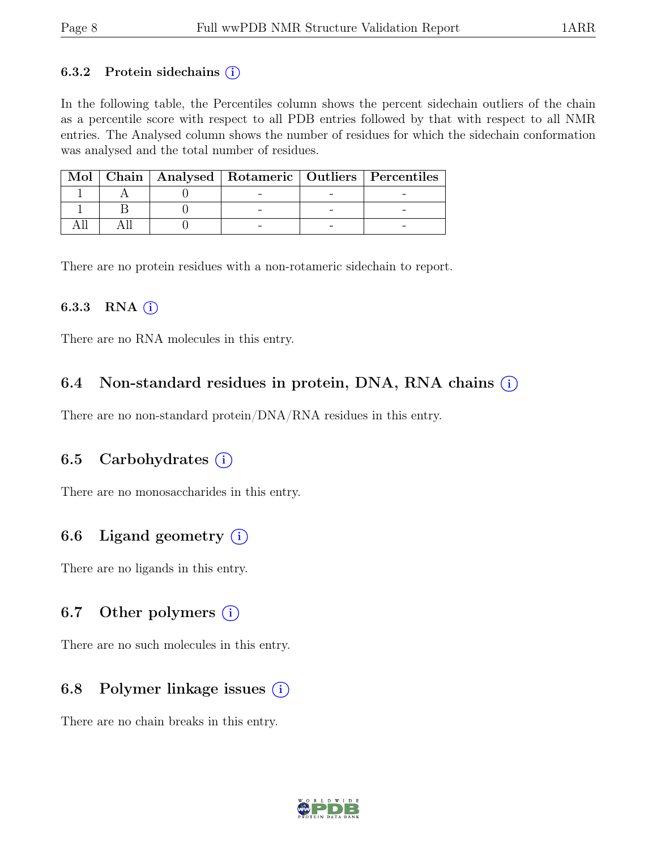#### 6.3.2 Protein sidechains  $(i)$

In the following table, the Percentiles column shows the percent sidechain outliers of the chain as a percentile score with respect to all PDB entries followed by that with respect to all NMR entries. The Analysed column shows the number of residues for which the sidechain conformation was analysed and the total number of residues.

|  |  | Mol   Chain   Analysed   Rotameric   Outliers   Percentiles |
|--|--|-------------------------------------------------------------|
|  |  |                                                             |
|  |  |                                                             |
|  |  |                                                             |

There are no protein residues with a non-rotameric sidechain to report.

#### 6.3.3 RNA  $(i)$

There are no RNA molecules in this entry.

### 6.4 Non-standard residues in protein, DNA, RNA chains  $(i)$

There are no non-standard protein/DNA/RNA residues in this entry.

### 6.5 Carbohydrates  $(i)$

There are no monosaccharides in this entry.

### 6.6 Ligand geometry  $(i)$

There are no ligands in this entry.

### 6.7 Other polymers  $(i)$

There are no such molecules in this entry.

### 6.8 Polymer linkage issues  $(i)$

There are no chain breaks in this entry.